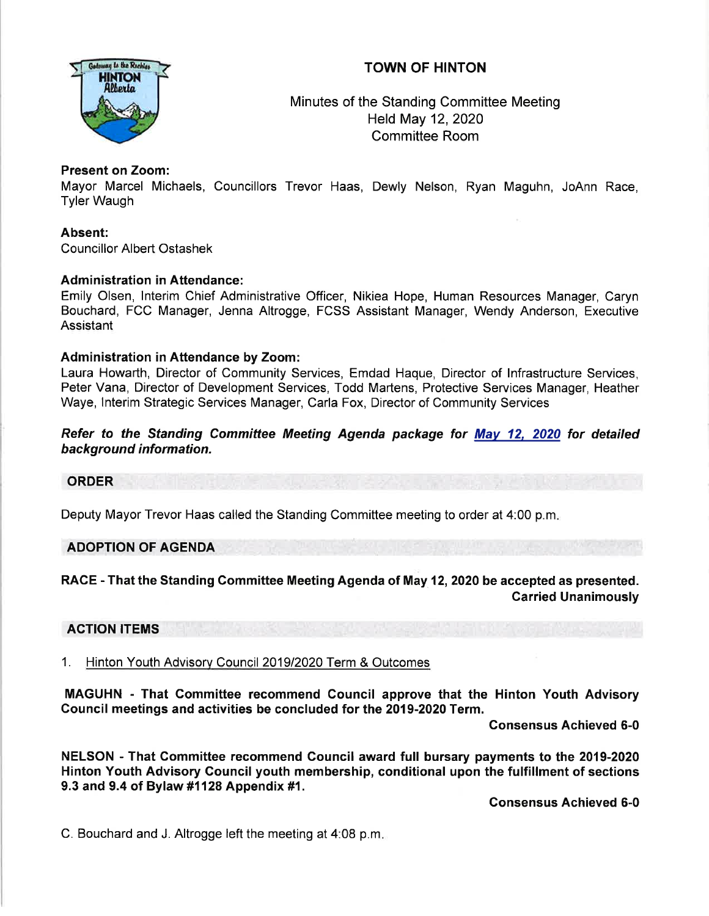# TOWN OF HINTON



Minutes of the Standing Committee Meeting Held May 12,2020 Committee Room

# Present on Zoom:

Mayor Marcel Michaels, Councillors Trevor Haas, Dewly Nelson, Ryan Maguhn, JoAnn Race, Tyler Waugh

Absent: Councillor Albert Ostashek

## **Administration in Attendance:**

Emily Olsen, lnterim Chief Administrative Officer, Nikiea Hope, Human Resources Manager, Caryn Bouchard, FCC Manager, Jenna Altrogge, FCSS Assistant Manager, Wendy Anderson, Executive **Assistant** 

## Administration in Attendance by Zoom:

Laura Howarth, Director of Community Services, Emdad Haque, Director of lnfrastructure Services, Peter Vana, Director of Development Services, Todd Martens, Protective Services Manager, Heather Waye, lnterim Strategic Services Manager, Carla Fox, Director of Community Services

## Refer to the Standing Committee Meeting Agenda package for Mav 12, 2020 for detailed background information.

## **ORDER**

Deputy Mayor Trevor Haas called the Standing Committee meeting to order at 4:00 p.m

## ADOPTION OF AGENDA

RACE - That the Standing Committee Meeting Agenda of May 12,2020 be accepted as presented. Garried Unanimously

## ACTION ITEMS

# 1. Hinton Youth Advisory Council 2019/2020 Term & Outcomes

MAGUHN - That Committee recommend Council approve that the Hinton Youth Advisory Gouncif meetings and activities be concluded for the 2019-2020 Term.

Gonsensus Achieved 6-0

NELSON - That Gommittee recommend Council award full bursary payments to the 2019-2020 Hinton Youth Advisory Council youth membership, conditional upon the fulfillment of sections 9.3 and 9.4 of Bylaw #1128 Appendix #1.

Gonsensus Achieved 6-0

C. Bouchard and J. Altrogge left the meeting at 4:08 p.m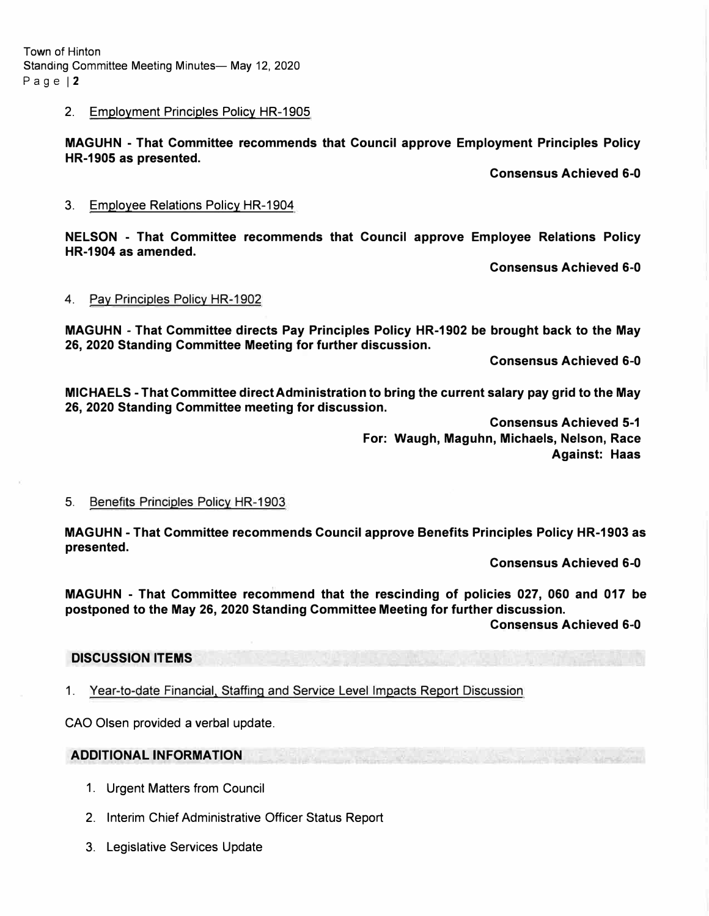Town of Hinton Standing Committee Meeting Minutes- May 12, 2020 Page | 2

### **2. Employment Principles Policy HR-1905**

**MAGUHN - That Committee recommends that Council approve Employment Principles Policy HR-1905 as presented.** 

**Consensus Achieved 6-0** 

**3. Employee Relations Policy HR-1904**

**NELSON - That Committee recommends that Council approve Employee Relations Policy HR-1904 as amended.** 

**Consensus Achieved 6-0** 

#### **4. Pay Principles Policy HR-1902**

**MAGUHN - That Committee directs Pay Principles Policy HR-1902 be brought back to the May 26, 2020 Standing Committee Meeting for further discussion.** 

**Consensus Achieved 6-0** 

**MICHAELS - That Committee direct Administration to bring the current salary pay grid to the May 26, 2020 Standing Committee meeting for discussion.** 

> **Consensus Achieved 5-1 For: Waugh, Maguhn, Michaels, Nelson, Race Against: Haas**

#### **5. Benefits Principles Policy HR-1903**

**MAGUHN - That Committee recommends Council approve Benefits Principles Policy HR-1903 as presented.** 

**Consensus Achieved 6-0** 

**MAGUHN - That Committee recommend that the rescinding of policies 027, 060 and 017 be postponed to the May 26, 2020 Standing Committee Meeting for further discussion.** 

**Consensus Achieved 6-0** 

### **DISCUSSION ITEMS**

**1. Year-to-date Financial. Staffing and Service Level Impacts Report Discussion**

**CAO Olsen provided a verbal update.** 

### **ADDITIONAL INFORMATION**

- **1. Urgent Matters from Council**
- **2. Interim Chief Administrative Officer Status Report**
- **3. Legislative Services Update**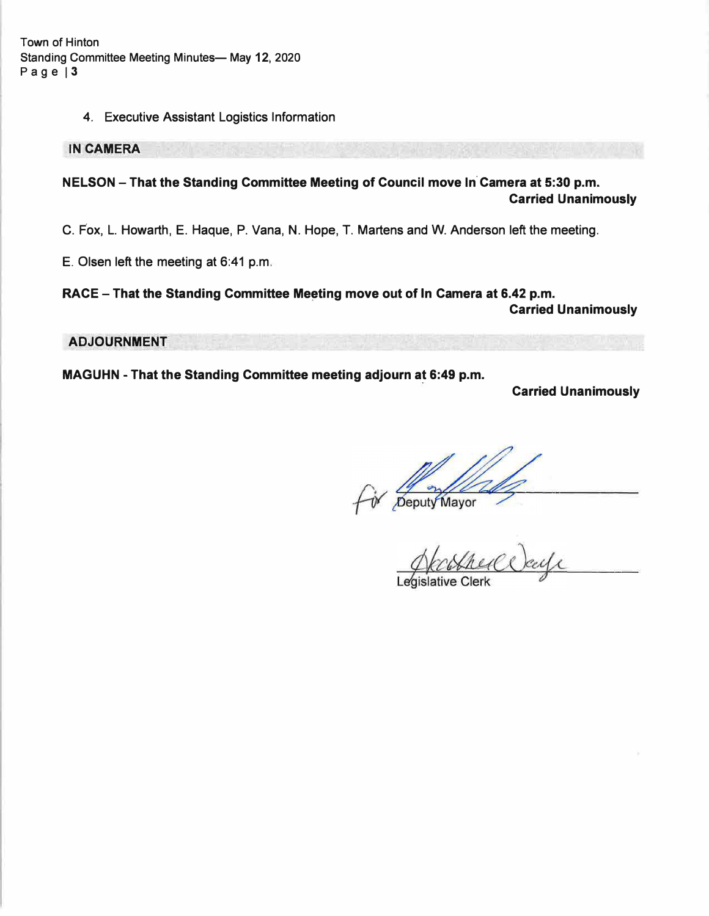**Town of Hinton Standing Committee Meeting Minutes- May 12, 2020 Page 13** 

#### 4. Executive Assistant Logistics Information

**IN CAMERA** 

**NELSON - That the Standing Committee Meeting of Council move In Camera at 5:30 p.m. Carried Unanimously** 

C. Fox, L. Howarth, E. Haque, P. Vana, N. Hope, T. Martens and W. Anderson left the meeting.

E. Olsen left the meeting at 6:41 p.m.

**RACE - That the Standing Committee Meeting move out of In Camera at 6.42 p.m. Carried Unanimously** 

**ADJOURNMENT** 

**MAGUHN - That the Standing Committee meeting adjourn at 6:49 p.m.** 

**Carried Unanimously** 

Fix Deputy Mayor